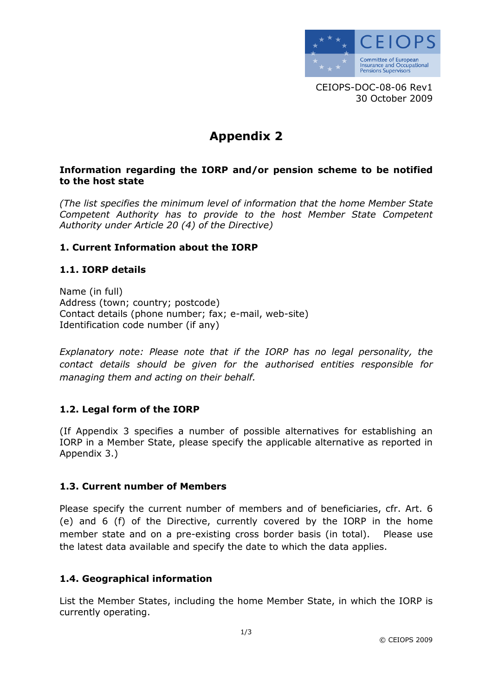

CEIOPS-DOC-08-06 Rev1 30 October 2009

# Appendix 2

## Information regarding the IORP and/or pension scheme to be notified to the host state

(The list specifies the minimum level of information that the home Member State Competent Authority has to provide to the host Member State Competent Authority under Article 20 (4) of the Directive)

# 1. Current Information about the IORP

## 1.1. IORP details

Name (in full) Address (town; country; postcode) Contact details (phone number; fax; e-mail, web-site) Identification code number (if any)

Explanatory note: Please note that if the IORP has no legal personality, the contact details should be given for the authorised entities responsible for managing them and acting on their behalf.

## 1.2. Legal form of the IORP

(If Appendix 3 specifies a number of possible alternatives for establishing an IORP in a Member State, please specify the applicable alternative as reported in Appendix 3.)

## 1.3. Current number of Members

Please specify the current number of members and of beneficiaries, cfr. Art. 6 (e) and 6 (f) of the Directive, currently covered by the IORP in the home member state and on a pre-existing cross border basis (in total). Please use the latest data available and specify the date to which the data applies.

## 1.4. Geographical information

List the Member States, including the home Member State, in which the IORP is currently operating.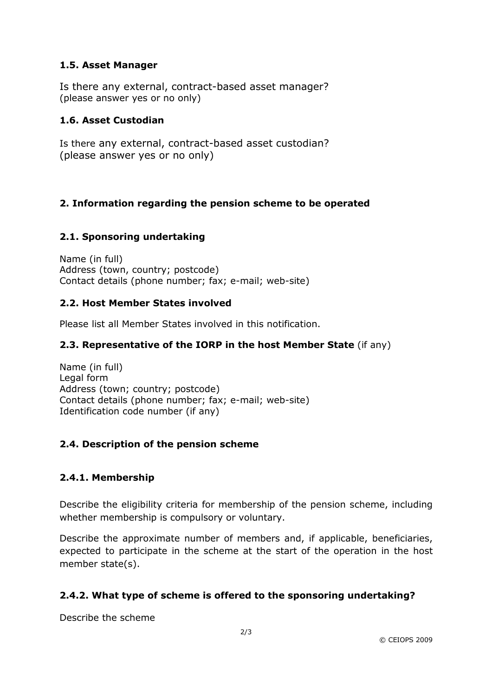# 1.5. Asset Manager

Is there any external, contract-based asset manager? (please answer yes or no only)

# 1.6. Asset Custodian

Is there any external, contract-based asset custodian? (please answer yes or no only)

# 2. Information regarding the pension scheme to be operated

# 2.1. Sponsoring undertaking

Name (in full) Address (town, country; postcode) Contact details (phone number; fax; e-mail; web-site)

## 2.2. Host Member States involved

Please list all Member States involved in this notification.

# 2.3. Representative of the IORP in the host Member State (if any)

Name (in full) Legal form Address (town; country; postcode) Contact details (phone number; fax; e-mail; web-site) Identification code number (if any)

## 2.4. Description of the pension scheme

## 2.4.1. Membership

Describe the eligibility criteria for membership of the pension scheme, including whether membership is compulsory or voluntary.

Describe the approximate number of members and, if applicable, beneficiaries, expected to participate in the scheme at the start of the operation in the host member state(s).

## 2.4.2. What type of scheme is offered to the sponsoring undertaking?

Describe the scheme